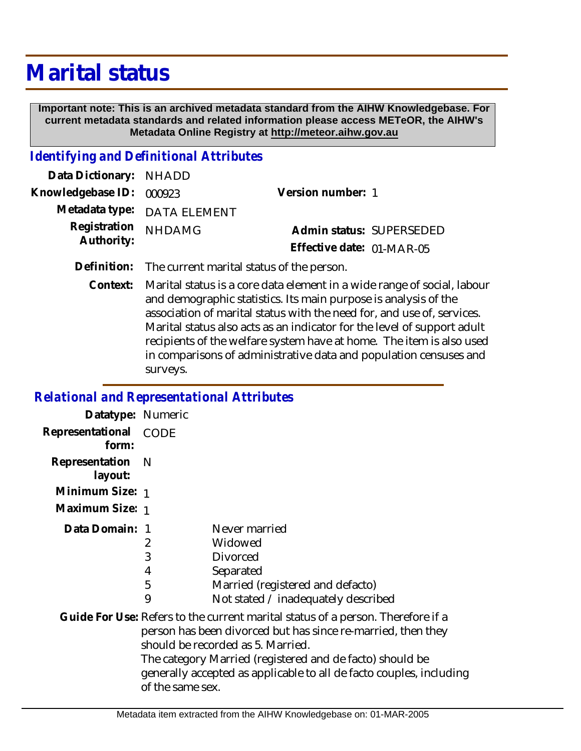## **Marital status**

 **Important note: This is an archived metadata standard from the AIHW Knowledgebase. For current metadata standards and related information please access METeOR, the AIHW's Metadata Online Registry at http://meteor.aihw.gov.au**

## *Identifying and Definitional Attributes*

| Data Dictionary: NHADD     |                             |                           |  |
|----------------------------|-----------------------------|---------------------------|--|
| Knowledgebase ID: 000923   |                             | Version number: 1         |  |
|                            | Metadata type: DATA ELEMENT |                           |  |
| Registration<br>Authority: | <b>NHDAMG</b>               | Admin status: SUPERSEDED  |  |
|                            |                             | Effective date: 01-MAR-05 |  |

**Definition:** The current marital status of the person.

Marital status is a core data element in a wide range of social, labour and demographic statistics. Its main purpose is analysis of the association of marital status with the need for, and use of, services. Marital status also acts as an indicator for the level of support adult recipients of the welfare system have at home. The item is also used in comparisons of administrative data and population censuses and surveys. **Context:**

## *Relational and Representational Attributes*

| Datatype: Numeric         |                       |                                                                                                                                                                                                                                                                                                                         |
|---------------------------|-----------------------|-------------------------------------------------------------------------------------------------------------------------------------------------------------------------------------------------------------------------------------------------------------------------------------------------------------------------|
| Representational<br>form: | CODE                  |                                                                                                                                                                                                                                                                                                                         |
| Representation<br>layout: | - N                   |                                                                                                                                                                                                                                                                                                                         |
| Minimum Size: 1           |                       |                                                                                                                                                                                                                                                                                                                         |
| Maximum Size: 1           |                       |                                                                                                                                                                                                                                                                                                                         |
| Data Domain: 1            | 2<br>3<br>4<br>5<br>9 | Never married<br>Widowed<br>Divorced<br>Separated<br>Married (registered and defacto)<br>Not stated / inadequately described                                                                                                                                                                                            |
|                           | of the same sex.      | Guide For Use: Refers to the current marital status of a person. Therefore if a<br>person has been divorced but has since re-married, then they<br>should be recorded as 5. Married.<br>The category Married (registered and de facto) should be<br>generally accepted as applicable to all de facto couples, including |